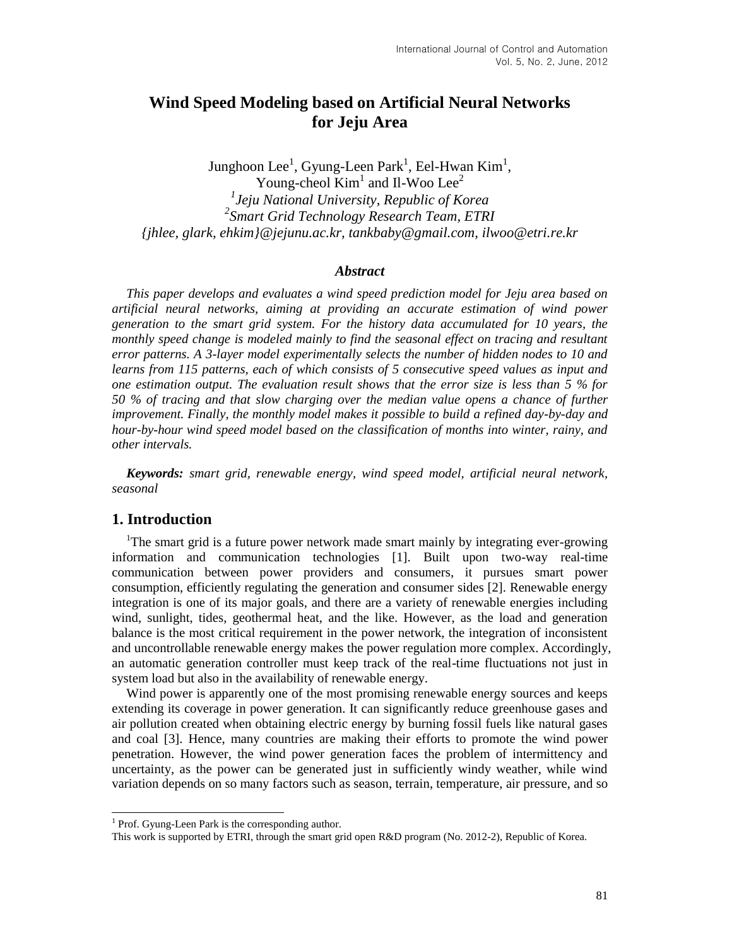# **Wind Speed Modeling based on Artificial Neural Networks for Jeju Area**

Junghoon Lee<sup>1</sup>, Gyung-Leen Park<sup>1</sup>, Eel-Hwan Kim<sup>1</sup>, Young-cheol  $\text{Kim}^1$  and Il-Woo Lee<sup>2</sup> *1 Jeju National University, Republic of Korea 2 Smart Grid Technology Research Team, ETRI {jhlee, glark, ehkim}@jejunu.ac.kr, tankbaby@gmail.com, ilwoo@etri.re.kr*

#### *Abstract*

*This paper develops and evaluates a wind speed prediction model for Jeju area based on artificial neural networks, aiming at providing an accurate estimation of wind power generation to the smart grid system. For the history data accumulated for 10 years, the monthly speed change is modeled mainly to find the seasonal effect on tracing and resultant error patterns. A 3-layer model experimentally selects the number of hidden nodes to 10 and learns from 115 patterns, each of which consists of 5 consecutive speed values as input and one estimation output. The evaluation result shows that the error size is less than 5 % for 50 % of tracing and that slow charging over the median value opens a chance of further improvement. Finally, the monthly model makes it possible to build a refined day-by-day and hour-by-hour wind speed model based on the classification of months into winter, rainy, and other intervals.*

*Keywords: smart grid, renewable energy, wind speed model, artificial neural network, seasonal* 

## **1. Introduction**

l

<sup>1</sup>The smart grid is a future power network made smart mainly by integrating ever-growing information and communication technologies [1]. Built upon two-way real-time communication between power providers and consumers, it pursues smart power consumption, efficiently regulating the generation and consumer sides [2]. Renewable energy integration is one of its major goals, and there are a variety of renewable energies including wind, sunlight, tides, geothermal heat, and the like. However, as the load and generation balance is the most critical requirement in the power network, the integration of inconsistent and uncontrollable renewable energy makes the power regulation more complex. Accordingly, an automatic generation controller must keep track of the real-time fluctuations not just in system load but also in the availability of renewable energy.

Wind power is apparently one of the most promising renewable energy sources and keeps extending its coverage in power generation. It can significantly reduce greenhouse gases and air pollution created when obtaining electric energy by burning fossil fuels like natural gases and coal [3]. Hence, many countries are making their efforts to promote the wind power penetration. However, the wind power generation faces the problem of intermittency and uncertainty, as the power can be generated just in sufficiently windy weather, while wind variation depends on so many factors such as season, terrain, temperature, air pressure, and so

<sup>&</sup>lt;sup>1</sup> Prof. Gyung-Leen Park is the corresponding author.

This work is supported by ETRI, through the smart grid open R&D program (No. 2012-2), Republic of Korea.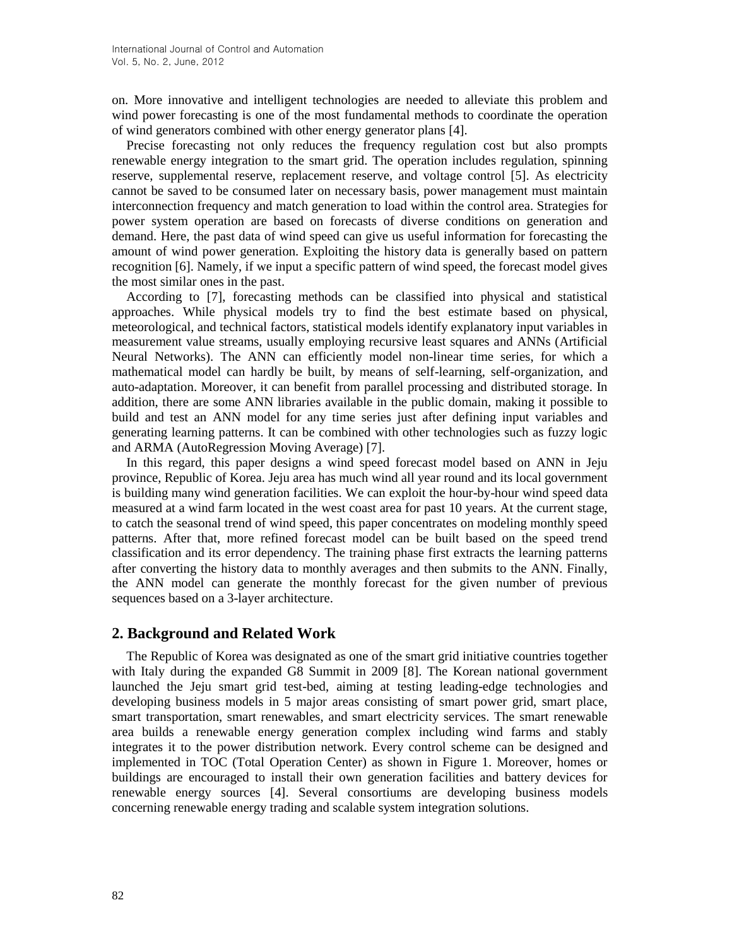on. More innovative and intelligent technologies are needed to alleviate this problem and wind power forecasting is one of the most fundamental methods to coordinate the operation of wind generators combined with other energy generator plans [4].

Precise forecasting not only reduces the frequency regulation cost but also prompts renewable energy integration to the smart grid. The operation includes regulation, spinning reserve, supplemental reserve, replacement reserve, and voltage control [5]. As electricity cannot be saved to be consumed later on necessary basis, power management must maintain interconnection frequency and match generation to load within the control area. Strategies for power system operation are based on forecasts of diverse conditions on generation and demand. Here, the past data of wind speed can give us useful information for forecasting the amount of wind power generation. Exploiting the history data is generally based on pattern recognition [6]. Namely, if we input a specific pattern of wind speed, the forecast model gives the most similar ones in the past.

According to [7], forecasting methods can be classified into physical and statistical approaches. While physical models try to find the best estimate based on physical, meteorological, and technical factors, statistical models identify explanatory input variables in measurement value streams, usually employing recursive least squares and ANNs (Artificial Neural Networks). The ANN can efficiently model non-linear time series, for which a mathematical model can hardly be built, by means of self-learning, self-organization, and auto-adaptation. Moreover, it can benefit from parallel processing and distributed storage. In addition, there are some ANN libraries available in the public domain, making it possible to build and test an ANN model for any time series just after defining input variables and generating learning patterns. It can be combined with other technologies such as fuzzy logic and ARMA (AutoRegression Moving Average) [7].

In this regard, this paper designs a wind speed forecast model based on ANN in Jeju province, Republic of Korea. Jeju area has much wind all year round and its local government is building many wind generation facilities. We can exploit the hour-by-hour wind speed data measured at a wind farm located in the west coast area for past 10 years. At the current stage, to catch the seasonal trend of wind speed, this paper concentrates on modeling monthly speed patterns. After that, more refined forecast model can be built based on the speed trend classification and its error dependency. The training phase first extracts the learning patterns after converting the history data to monthly averages and then submits to the ANN. Finally, the ANN model can generate the monthly forecast for the given number of previous sequences based on a 3-layer architecture.

## **2. Background and Related Work**

The Republic of Korea was designated as one of the smart grid initiative countries together with Italy during the expanded G8 Summit in 2009 [8]. The Korean national government launched the Jeju smart grid test-bed, aiming at testing leading-edge technologies and developing business models in 5 major areas consisting of smart power grid, smart place, smart transportation, smart renewables, and smart electricity services. The smart renewable area builds a renewable energy generation complex including wind farms and stably integrates it to the power distribution network. Every control scheme can be designed and implemented in TOC (Total Operation Center) as shown in Figure 1. Moreover, homes or buildings are encouraged to install their own generation facilities and battery devices for renewable energy sources [4]. Several consortiums are developing business models concerning renewable energy trading and scalable system integration solutions.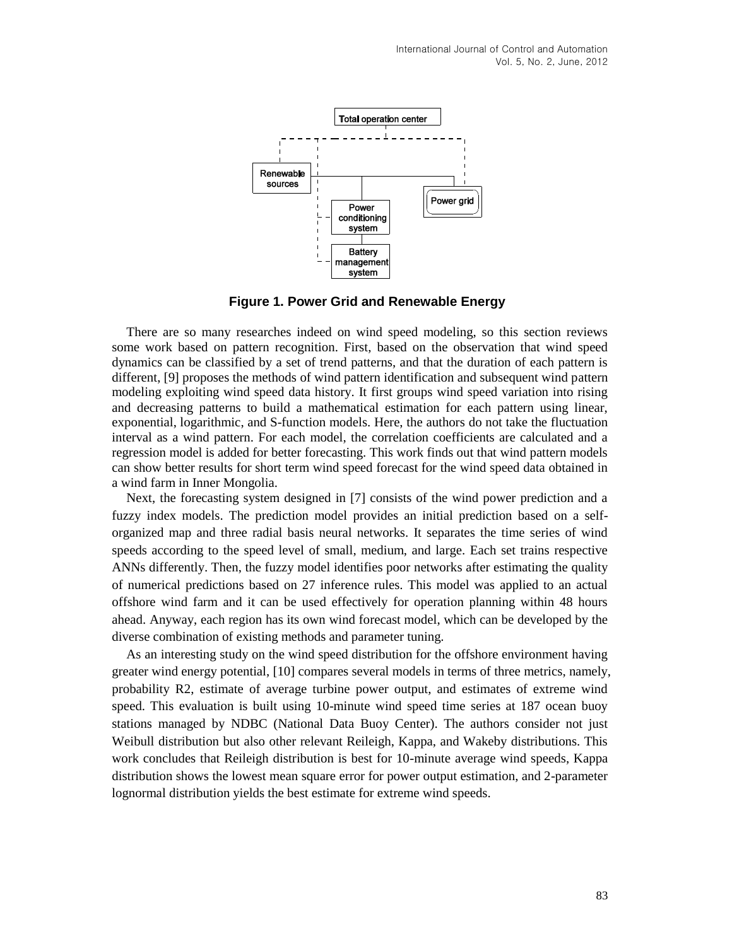

**Figure 1. Power Grid and Renewable Energy**

There are so many researches indeed on wind speed modeling, so this section reviews some work based on pattern recognition. First, based on the observation that wind speed dynamics can be classified by a set of trend patterns, and that the duration of each pattern is different, [9] proposes the methods of wind pattern identification and subsequent wind pattern modeling exploiting wind speed data history. It first groups wind speed variation into rising and decreasing patterns to build a mathematical estimation for each pattern using linear, exponential, logarithmic, and S-function models. Here, the authors do not take the fluctuation interval as a wind pattern. For each model, the correlation coefficients are calculated and a regression model is added for better forecasting. This work finds out that wind pattern models can show better results for short term wind speed forecast for the wind speed data obtained in a wind farm in Inner Mongolia.

Next, the forecasting system designed in [7] consists of the wind power prediction and a fuzzy index models. The prediction model provides an initial prediction based on a selforganized map and three radial basis neural networks. It separates the time series of wind speeds according to the speed level of small, medium, and large. Each set trains respective ANNs differently. Then, the fuzzy model identifies poor networks after estimating the quality of numerical predictions based on 27 inference rules. This model was applied to an actual offshore wind farm and it can be used effectively for operation planning within 48 hours ahead. Anyway, each region has its own wind forecast model, which can be developed by the diverse combination of existing methods and parameter tuning.

As an interesting study on the wind speed distribution for the offshore environment having greater wind energy potential, [10] compares several models in terms of three metrics, namely, probability R2, estimate of average turbine power output, and estimates of extreme wind speed. This evaluation is built using 10-minute wind speed time series at 187 ocean buoy stations managed by NDBC (National Data Buoy Center). The authors consider not just Weibull distribution but also other relevant Reileigh, Kappa, and Wakeby distributions. This work concludes that Reileigh distribution is best for 10-minute average wind speeds, Kappa distribution shows the lowest mean square error for power output estimation, and 2-parameter lognormal distribution yields the best estimate for extreme wind speeds.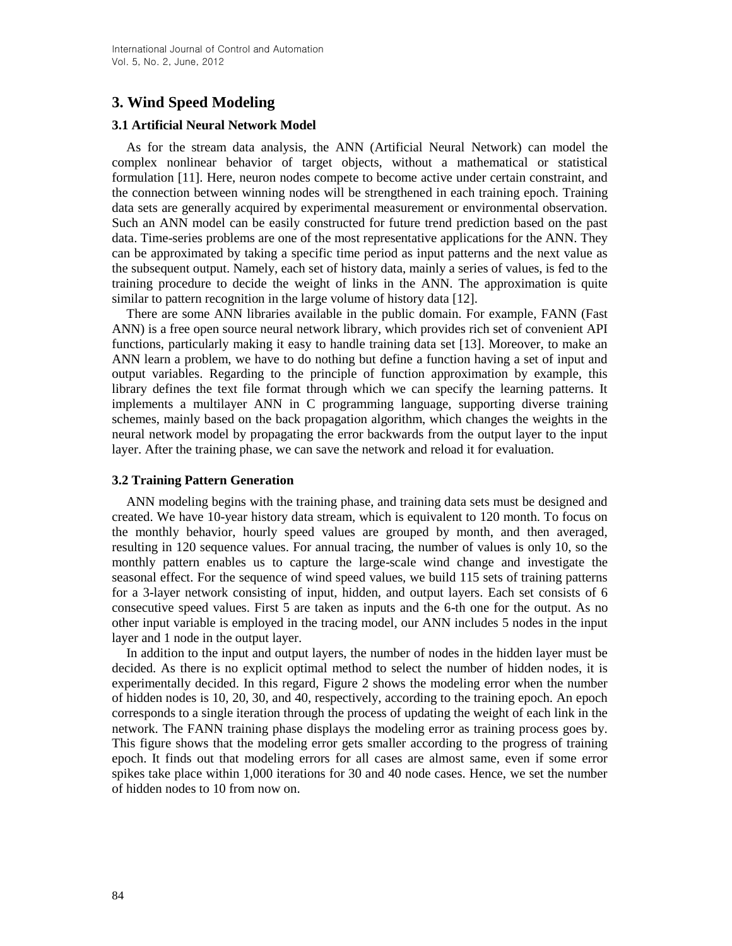## **3. Wind Speed Modeling**

## **3.1 Artificial Neural Network Model**

As for the stream data analysis, the ANN (Artificial Neural Network) can model the complex nonlinear behavior of target objects, without a mathematical or statistical formulation [11]. Here, neuron nodes compete to become active under certain constraint, and the connection between winning nodes will be strengthened in each training epoch. Training data sets are generally acquired by experimental measurement or environmental observation. Such an ANN model can be easily constructed for future trend prediction based on the past data. Time-series problems are one of the most representative applications for the ANN. They can be approximated by taking a specific time period as input patterns and the next value as the subsequent output. Namely, each set of history data, mainly a series of values, is fed to the training procedure to decide the weight of links in the ANN. The approximation is quite similar to pattern recognition in the large volume of history data [12].

There are some ANN libraries available in the public domain. For example, FANN (Fast ANN) is a free open source neural network library, which provides rich set of convenient API functions, particularly making it easy to handle training data set [13]. Moreover, to make an ANN learn a problem, we have to do nothing but define a function having a set of input and output variables. Regarding to the principle of function approximation by example, this library defines the text file format through which we can specify the learning patterns. It implements a multilayer ANN in C programming language, supporting diverse training schemes, mainly based on the back propagation algorithm, which changes the weights in the neural network model by propagating the error backwards from the output layer to the input layer. After the training phase, we can save the network and reload it for evaluation.

#### **3.2 Training Pattern Generation**

ANN modeling begins with the training phase, and training data sets must be designed and created. We have 10-year history data stream, which is equivalent to 120 month. To focus on the monthly behavior, hourly speed values are grouped by month, and then averaged, resulting in 120 sequence values. For annual tracing, the number of values is only 10, so the monthly pattern enables us to capture the large-scale wind change and investigate the seasonal effect. For the sequence of wind speed values, we build 115 sets of training patterns for a 3-layer network consisting of input, hidden, and output layers. Each set consists of 6 consecutive speed values. First 5 are taken as inputs and the 6-th one for the output. As no other input variable is employed in the tracing model, our ANN includes 5 nodes in the input layer and 1 node in the output layer.

In addition to the input and output layers, the number of nodes in the hidden layer must be decided. As there is no explicit optimal method to select the number of hidden nodes, it is experimentally decided. In this regard, Figure 2 shows the modeling error when the number of hidden nodes is 10, 20, 30, and 40, respectively, according to the training epoch. An epoch corresponds to a single iteration through the process of updating the weight of each link in the network. The FANN training phase displays the modeling error as training process goes by. This figure shows that the modeling error gets smaller according to the progress of training epoch. It finds out that modeling errors for all cases are almost same, even if some error spikes take place within 1,000 iterations for 30 and 40 node cases. Hence, we set the number of hidden nodes to 10 from now on.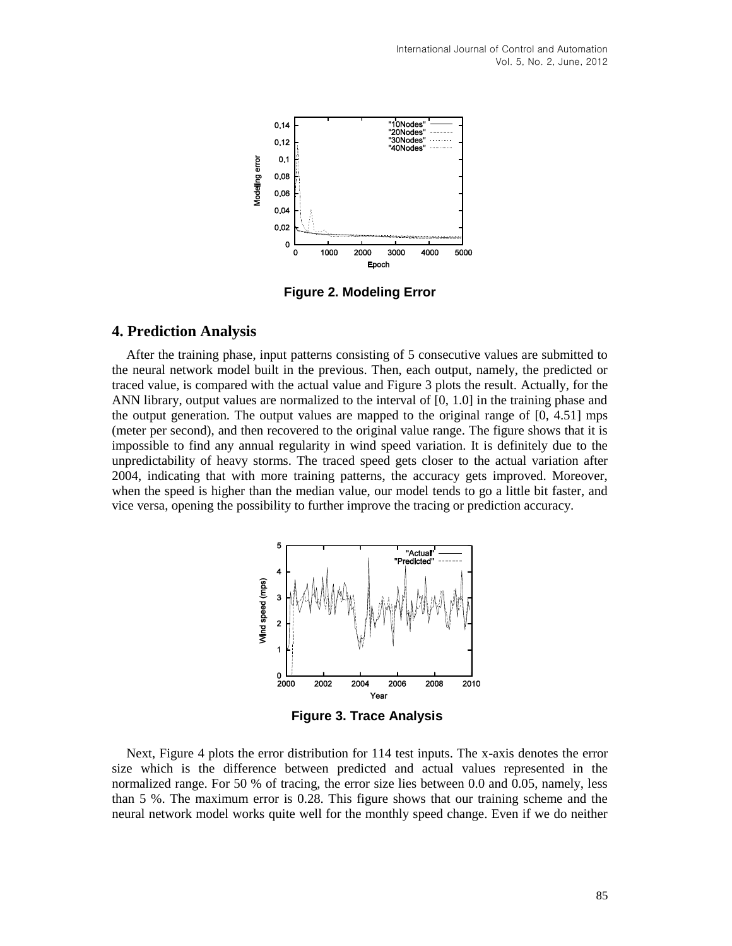

**Figure 2. Modeling Error**

#### **4. Prediction Analysis**

After the training phase, input patterns consisting of 5 consecutive values are submitted to the neural network model built in the previous. Then, each output, namely, the predicted or traced value, is compared with the actual value and Figure 3 plots the result. Actually, for the ANN library, output values are normalized to the interval of [0, 1.0] in the training phase and the output generation. The output values are mapped to the original range of [0, 4.51] mps (meter per second), and then recovered to the original value range. The figure shows that it is impossible to find any annual regularity in wind speed variation. It is definitely due to the unpredictability of heavy storms. The traced speed gets closer to the actual variation after 2004, indicating that with more training patterns, the accuracy gets improved. Moreover, when the speed is higher than the median value, our model tends to go a little bit faster, and vice versa, opening the possibility to further improve the tracing or prediction accuracy.



**Figure 3. Trace Analysis**

Next, Figure 4 plots the error distribution for 114 test inputs. The x-axis denotes the error size which is the difference between predicted and actual values represented in the normalized range. For 50 % of tracing, the error size lies between 0.0 and 0.05, namely, less than 5 %. The maximum error is 0.28. This figure shows that our training scheme and the neural network model works quite well for the monthly speed change. Even if we do neither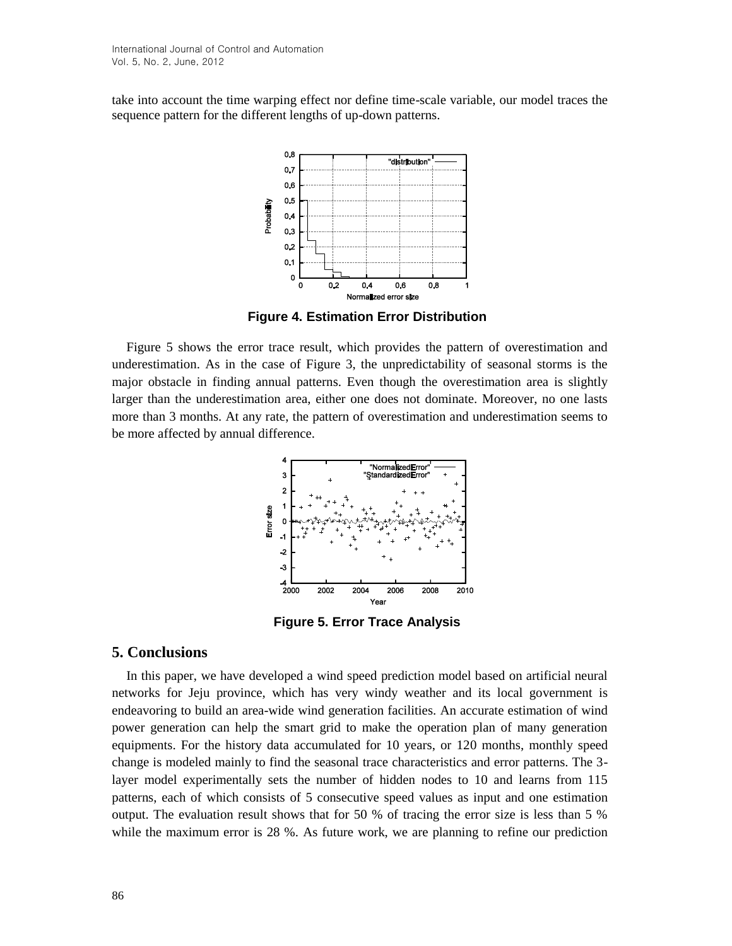take into account the time warping effect nor define time-scale variable, our model traces the sequence pattern for the different lengths of up-down patterns.



**Figure 4. Estimation Error Distribution**

Figure 5 shows the error trace result, which provides the pattern of overestimation and underestimation. As in the case of Figure 3, the unpredictability of seasonal storms is the major obstacle in finding annual patterns. Even though the overestimation area is slightly larger than the underestimation area, either one does not dominate. Moreover, no one lasts more than 3 months. At any rate, the pattern of overestimation and underestimation seems to be more affected by annual difference.



**Figure 5. Error Trace Analysis**

## **5. Conclusions**

In this paper, we have developed a wind speed prediction model based on artificial neural networks for Jeju province, which has very windy weather and its local government is endeavoring to build an area-wide wind generation facilities. An accurate estimation of wind power generation can help the smart grid to make the operation plan of many generation equipments. For the history data accumulated for 10 years, or 120 months, monthly speed change is modeled mainly to find the seasonal trace characteristics and error patterns. The 3 layer model experimentally sets the number of hidden nodes to 10 and learns from 115 patterns, each of which consists of 5 consecutive speed values as input and one estimation output. The evaluation result shows that for 50 % of tracing the error size is less than 5 % while the maximum error is 28 %. As future work, we are planning to refine our prediction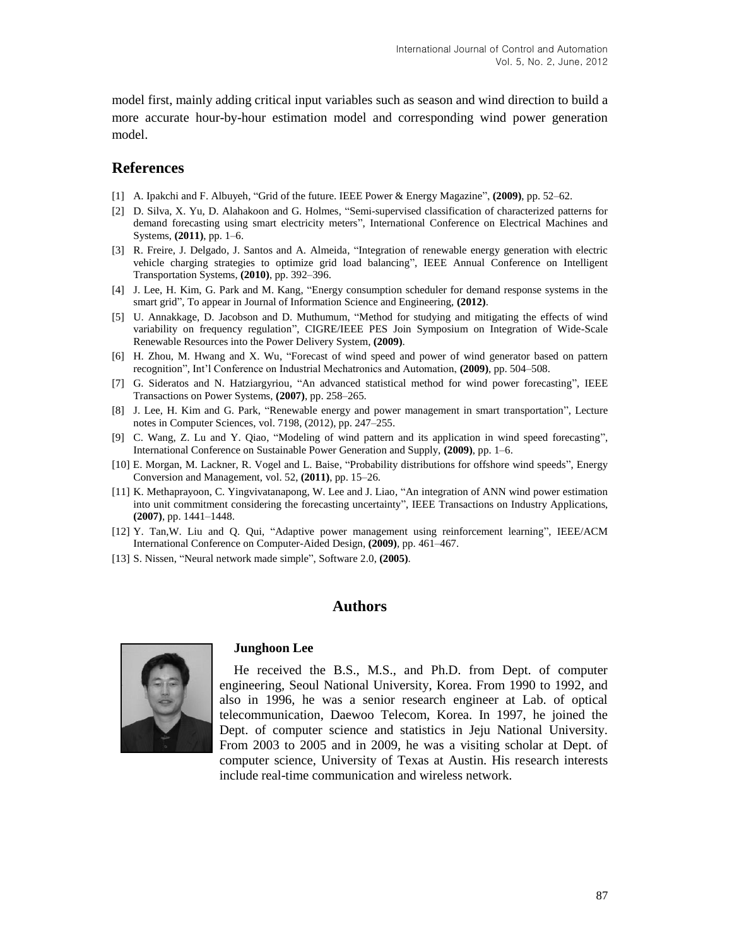model first, mainly adding critical input variables such as season and wind direction to build a more accurate hour-by-hour estimation model and corresponding wind power generation model.

## **References**

- [1] A. Ipakchi and F. Albuyeh, "Grid of the future. IEEE Power & Energy Magazine", **(2009)**, pp. 52–62.
- [2] D. Silva, X. Yu, D. Alahakoon and G. Holmes, "Semi-supervised classification of characterized patterns for demand forecasting using smart electricity meters", International Conference on Electrical Machines and Systems, **(2011)**, pp. 1–6.
- [3] R. Freire, J. Delgado, J. Santos and A. Almeida, "Integration of renewable energy generation with electric vehicle charging strategies to optimize grid load balancing", IEEE Annual Conference on Intelligent Transportation Systems, **(2010)**, pp. 392–396.
- [4] J. Lee, H. Kim, G. Park and M. Kang, "Energy consumption scheduler for demand response systems in the smart grid", To appear in Journal of Information Science and Engineering, **(2012)**.
- [5] U. Annakkage, D. Jacobson and D. Muthumum, "Method for studying and mitigating the effects of wind variability on frequency regulation", CIGRE/IEEE PES Join Symposium on Integration of Wide-Scale Renewable Resources into the Power Delivery System, **(2009)**.
- [6] H. Zhou, M. Hwang and X. Wu, "Forecast of wind speed and power of wind generator based on pattern recognition", Int'l Conference on Industrial Mechatronics and Automation, **(2009)**, pp. 504–508.
- [7] G. Sideratos and N. Hatziargyriou, "An advanced statistical method for wind power forecasting", IEEE Transactions on Power Systems, **(2007)**, pp. 258–265.
- [8] J. Lee, H. Kim and G. Park, "Renewable energy and power management in smart transportation", Lecture notes in Computer Sciences, vol. 7198, (2012), pp. 247–255.
- [9] C. Wang, Z. Lu and Y. Qiao, "Modeling of wind pattern and its application in wind speed forecasting", International Conference on Sustainable Power Generation and Supply, **(2009)**, pp. 1–6.
- [10] E. Morgan, M. Lackner, R. Vogel and L. Baise, "Probability distributions for offshore wind speeds", Energy Conversion and Management, vol. 52, **(2011)**, pp. 15–26.
- [11] K. Methaprayoon, C. Yingvivatanapong, W. Lee and J. Liao, "An integration of ANN wind power estimation into unit commitment considering the forecasting uncertainty", IEEE Transactions on Industry Applications, **(2007)**, pp. 1441–1448.
- [12] Y. Tan,W. Liu and Q. Qui, "Adaptive power management using reinforcement learning", IEEE/ACM International Conference on Computer-Aided Design, **(2009)**, pp. 461–467.
- [13] S. Nissen, "Neural network made simple", Software 2.0, **(2005)**.

## **Authors**



#### **Junghoon Lee**

He received the B.S., M.S., and Ph.D. from Dept. of computer engineering, Seoul National University, Korea. From 1990 to 1992, and also in 1996, he was a senior research engineer at Lab. of optical telecommunication, Daewoo Telecom, Korea. In 1997, he joined the Dept. of computer science and statistics in Jeju National University. From 2003 to 2005 and in 2009, he was a visiting scholar at Dept. of computer science, University of Texas at Austin. His research interests include real-time communication and wireless network.